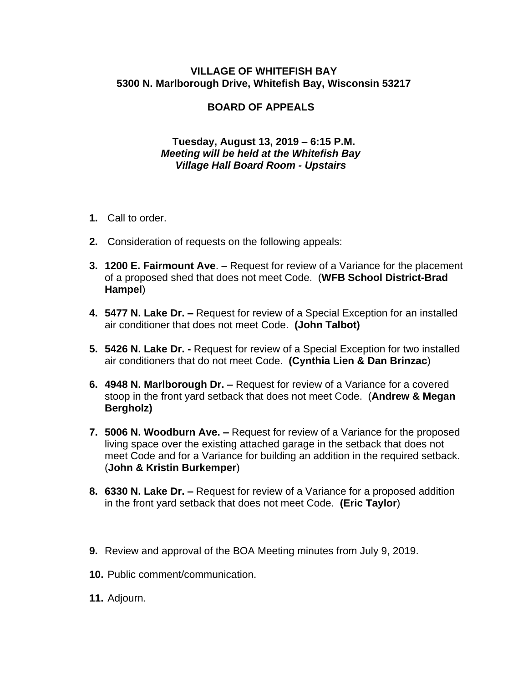## **VILLAGE OF WHITEFISH BAY 5300 N. Marlborough Drive, Whitefish Bay, Wisconsin 53217**

## **BOARD OF APPEALS**

## **Tuesday, August 13, 2019 – 6:15 P.M.**  *Meeting will be held at the Whitefish Bay Village Hall Board Room - Upstairs*

- **1.** Call to order.
- **2.** Consideration of requests on the following appeals:
- **3. 1200 E. Fairmount Ave**. Request for review of a Variance for the placement of a proposed shed that does not meet Code. (**WFB School District-Brad Hampel**)
- **4. 5477 N. Lake Dr. –** Request for review of a Special Exception for an installed air conditioner that does not meet Code. **(John Talbot)**
- **5. 5426 N. Lake Dr. -** Request for review of a Special Exception for two installed air conditioners that do not meet Code. **(Cynthia Lien & Dan Brinzac**)
- **6. 4948 N. Marlborough Dr. –** Request for review of a Variance for a covered stoop in the front yard setback that does not meet Code. (**Andrew & Megan Bergholz)**
- **7. 5006 N. Woodburn Ave. –** Request for review of a Variance for the proposed living space over the existing attached garage in the setback that does not meet Code and for a Variance for building an addition in the required setback. (**John & Kristin Burkemper**)
- **8. 6330 N. Lake Dr. –** Request for review of a Variance for a proposed addition in the front yard setback that does not meet Code. **(Eric Taylor**)
- **9.** Review and approval of the BOA Meeting minutes from July 9, 2019.
- **10.** Public comment/communication.
- **11.** Adjourn.